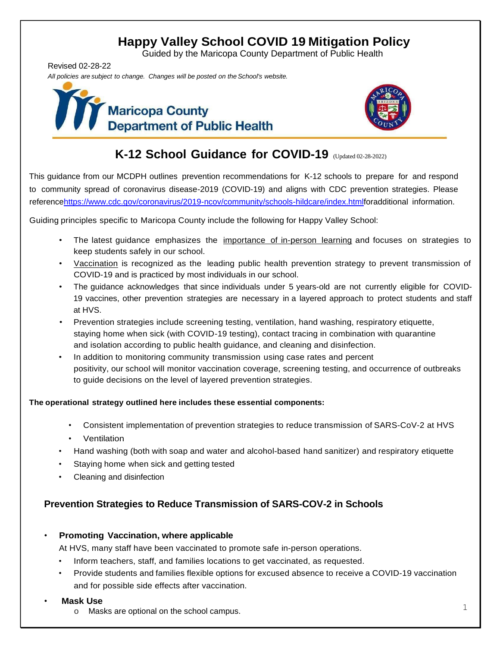# **Happy Valley School COVID 19 Mitigation Policy**

Guided by the Maricopa County Department of Public Health

Revised 02-28-22

*All policies are subject to change. Changes will be posted on the School's website.*





# **K-12 School Guidance for COVID-19** (Updated 02-28-2022)

This guidance from our MCDPH outlines prevention recommendations for K-12 schools to prepare for and respond to community spread of coronavirus disease-2019 (COVID-19) and aligns with CDC prevention strategies. Please referenc[ehttps://www.cdc.gov/coronavirus/2019-ncov/community/schools-hildcare/index.htmlf](https://www.cdc.gov/coronavirus/2019-ncov/community/schools-hildcare/index.html)oradditional information.

Guiding principles specific to Maricopa County include the following for Happy Valley School:

- The latest guidance emphasizes the importance of in-person learning and focuses on strategies to keep students safely in our school.
- Vaccination is recognized as the leading public health prevention strategy to prevent transmission of COVID-19 and is practiced by most individuals in our school.
- The guidance acknowledges that since individuals under 5 years-old are not currently eligible for COVID-19 vaccines, other prevention strategies are necessary in a layered approach to protect students and staff at HVS.
- Prevention strategies include screening testing, ventilation, hand washing, respiratory etiquette, staying home when sick (with COVID-19 testing), contact tracing in combination with quarantine and isolation according to public health guidance, and cleaning and disinfection.
- In addition to monitoring community transmission using case rates and percent positivity, our school will monitor vaccination coverage, screening testing, and occurrence of outbreaks to guide decisions on the level of layered prevention strategies.

### **The operational strategy outlined here includes these essential components:**

- Consistent implementation of prevention strategies to reduce transmission of SARS-CoV-2 at HVS
- Ventilation
- Hand washing (both with soap and water and alcohol-based hand sanitizer) and respiratory etiquette
- Staying home when sick and getting tested
- Cleaning and disinfection

# **Prevention Strategies to Reduce Transmission of SARS-COV-2 in Schools**

#### • **Promoting Vaccination, where applicable**

At HVS, many staff have been vaccinated to promote safe in-person operations.

- Inform teachers, staff, and families locations to get vaccinated, as requested.
- Provide students and families flexible options for excused absence to receive a COVID-19 vaccination and for possible side effects after vaccination.

#### • **Mask Use**

o Masks are optional on the school campus.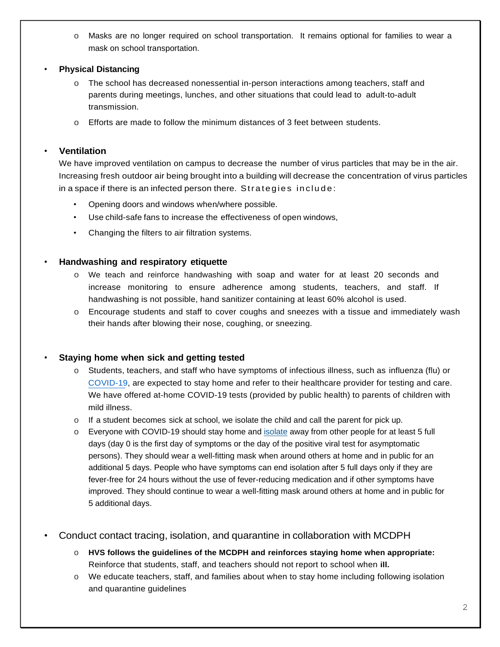o Masks are no longer required on school transportation. It remains optional for families to wear a mask on school transportation.

### • **Physical Distancing**

- o The school has decreased nonessential in-person interactions among teachers, staff and parents during meetings, lunches, and other situations that could lead to adult-to-adult transmission.
- o Efforts are made to follow the minimum distances of 3 feet between students.

#### • **Ventilation**

We have improved ventilation on campus to decrease the number of virus particles that may be in the air. Increasing fresh outdoor air being brought into a building will decrease the concentration of virus particles in a space if there is an infected person there. Strategies include:

- Opening doors and windows when/where possible.
- Use child-safe fans to increase the effectiveness of open windows,
- Changing the filters to air filtration systems.

#### • **Handwashing and respiratory etiquette**

- o We teach and reinforce handwashing with soap and water for at least 20 seconds and increase monitoring to ensure adherence among students, teachers, and staff. If handwashing is not possible, hand sanitizer containing at least 60% alcohol is used.
- o Encourage students and staff to cover coughs and sneezes with a tissue and immediately wash their hands after blowing their nose, coughing, or sneezing.

#### • **Staying home when sick and getting tested**

- o Students, teachers, and staff who have symptoms of infectious illness, such as influenza (flu) or COVID-19, are expected to stay home and refer to their healthcare provider for testing and care. We have offered at-home COVID-19 tests (provided by public health) to parents of children with mild illness.
- o If a student becomes sick at school, we isolate the child and call the parent for pick up.
- o Everyone with COVID-19 should stay home and [isolate](https://www.cdc.gov/coronavirus/2019-ncov/your-health/quarantine-isolation.html) away from other people for at least 5 full days (day 0 is the first day of symptoms or the day of the positive viral test for asymptomatic persons). They should wear a well-fitting mask when around others at home and in public for an additional 5 days. People who have symptoms can end isolation after 5 full days only if they are fever-free for 24 hours without the use of fever-reducing medication and if other symptoms have improved. They should continue to wear a well-fitting mask around others at home and in public for 5 additional days.
- Conduct contact tracing, isolation, and quarantine in collaboration with MCDPH
	- o **HVS follows the guidelines of the MCDPH and reinforces staying home when appropriate:**  Reinforce that students, staff, and teachers should not report to school when **ill.**
	- o We educate teachers, staff, and families about when to stay home including following isolation and quarantine guidelines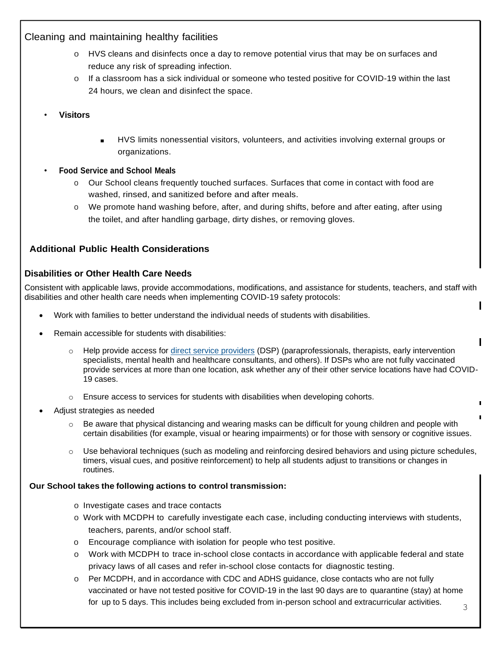## Cleaning and maintaining healthy facilities

- o HVS cleans and disinfects once a day to remove potential virus that may be on surfaces and reduce any risk of spreading infection.
- o If a classroom has a sick individual or someone who tested positive for COVID-19 within the last 24 hours, we clean and disinfect the space.
- **Visitors**
- HVS limits nonessential visitors, volunteers, and activities involving external groups or organizations.
- **Food Service and School Meals**
	- o Our School cleans frequently touched surfaces. Surfaces that come in contact with food are washed, rinsed, and sanitized before and after meals.
	- o We promote hand washing before, after, and during shifts, before and after eating, after using the toilet, and after handling garbage, dirty dishes, or removing gloves.

## **Additional Public Health Considerations**

## **Disabilities or Other Health Care Needs**

Consistent with applicable laws, provide accommodations, modifications, and assistance for students, teachers, and staff with disabilities and other health care needs when implementing COVID-19 safety protocols:

- Work with families to better understand the individual needs of students with disabilities.
- Remain accessible for students with disabilities:
	- Help provide access for [direct service providers](https://www.cdc.gov/ncbddd/humandevelopment/covid-19/guidance-for-direct-service-providers.html) (DSP) (paraprofessionals, therapists, early intervention specialists, mental health and healthcare consultants, and others). If DSPs who are not fully vaccinated provide services at more than one location, ask whether any of their other service locations have had COVID-19 cases.
	- Ensure access to services for students with disabilities when developing cohorts.
- Adjust strategies as needed
	- Be aware that physical distancing and wearing masks can be difficult for young children and people with certain disabilities (for example, visual or hearing impairments) or for those with sensory or cognitive issues.
	- $\circ$  Use behavioral techniques (such as modeling and reinforcing desired behaviors and using picture schedules, timers, visual cues, and positive reinforcement) to help all students adjust to transitions or changes in routines.

#### **Our School takes the following actions to control transmission:**

- o Investigate cases and trace contacts
- o Work with MCDPH to carefully investigate each case, including conducting interviews with students, teachers, parents, and/or school staff.
- o Encourage compliance with isolation for people who test positive.
- o Work with MCDPH to trace in-school close contacts in accordance with applicable federal and state privacy laws of all cases and refer in-school close contacts for diagnostic testing.
- o Per MCDPH, and in accordance with CDC and ADHS guidance, close contacts who are not fully vaccinated or have not tested positive for COVID-19 in the last 90 days are to quarantine (stay) at home for up to 5 days. This includes being excluded from in-person school and extracurricular activities.